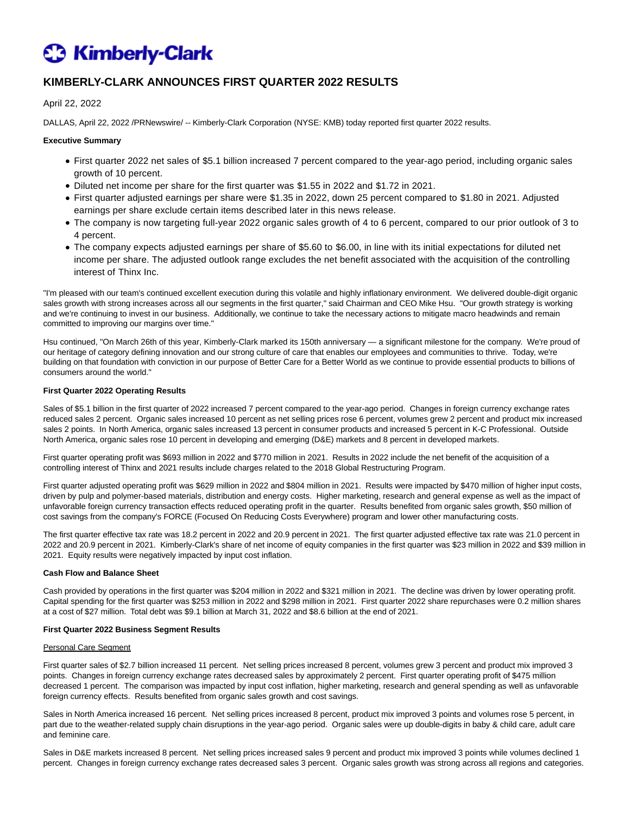# **C** Kimberly-Clark

# **KIMBERLY-CLARK ANNOUNCES FIRST QUARTER 2022 RESULTS**

April 22, 2022

DALLAS, April 22, 2022 /PRNewswire/ -- Kimberly-Clark Corporation (NYSE: KMB) today reported first quarter 2022 results.

#### **Executive Summary**

- First quarter 2022 net sales of \$5.1 billion increased 7 percent compared to the year-ago period, including organic sales growth of 10 percent.
- Diluted net income per share for the first quarter was \$1.55 in 2022 and \$1.72 in 2021.
- First quarter adjusted earnings per share were \$1.35 in 2022, down 25 percent compared to \$1.80 in 2021. Adjusted earnings per share exclude certain items described later in this news release.
- The company is now targeting full-year 2022 organic sales growth of 4 to 6 percent, compared to our prior outlook of 3 to 4 percent.
- The company expects adjusted earnings per share of \$5.60 to \$6.00, in line with its initial expectations for diluted net income per share. The adjusted outlook range excludes the net benefit associated with the acquisition of the controlling interest of Thinx Inc.

"I'm pleased with our team's continued excellent execution during this volatile and highly inflationary environment. We delivered double-digit organic sales growth with strong increases across all our segments in the first quarter," said Chairman and CEO Mike Hsu. "Our growth strategy is working and we're continuing to invest in our business. Additionally, we continue to take the necessary actions to mitigate macro headwinds and remain committed to improving our margins over time."

Hsu continued, "On March 26th of this year, Kimberly-Clark marked its 150th anniversary — a significant milestone for the company. We're proud of our heritage of category defining innovation and our strong culture of care that enables our employees and communities to thrive. Today, we're building on that foundation with conviction in our purpose of Better Care for a Better World as we continue to provide essential products to billions of consumers around the world."

#### **First Quarter 2022 Operating Results**

Sales of \$5.1 billion in the first quarter of 2022 increased 7 percent compared to the year-ago period. Changes in foreign currency exchange rates reduced sales 2 percent. Organic sales increased 10 percent as net selling prices rose 6 percent, volumes grew 2 percent and product mix increased sales 2 points. In North America, organic sales increased 13 percent in consumer products and increased 5 percent in K-C Professional. Outside North America, organic sales rose 10 percent in developing and emerging (D&E) markets and 8 percent in developed markets.

First quarter operating profit was \$693 million in 2022 and \$770 million in 2021. Results in 2022 include the net benefit of the acquisition of a controlling interest of Thinx and 2021 results include charges related to the 2018 Global Restructuring Program.

First quarter adjusted operating profit was \$629 million in 2022 and \$804 million in 2021. Results were impacted by \$470 million of higher input costs, driven by pulp and polymer-based materials, distribution and energy costs. Higher marketing, research and general expense as well as the impact of unfavorable foreign currency transaction effects reduced operating profit in the quarter. Results benefited from organic sales growth, \$50 million of cost savings from the company's FORCE (Focused On Reducing Costs Everywhere) program and lower other manufacturing costs.

The first quarter effective tax rate was 18.2 percent in 2022 and 20.9 percent in 2021. The first quarter adjusted effective tax rate was 21.0 percent in 2022 and 20.9 percent in 2021. Kimberly-Clark's share of net income of equity companies in the first quarter was \$23 million in 2022 and \$39 million in 2021. Equity results were negatively impacted by input cost inflation.

#### **Cash Flow and Balance Sheet**

Cash provided by operations in the first quarter was \$204 million in 2022 and \$321 million in 2021. The decline was driven by lower operating profit. Capital spending for the first quarter was \$253 million in 2022 and \$298 million in 2021. First quarter 2022 share repurchases were 0.2 million shares at a cost of \$27 million. Total debt was \$9.1 billion at March 31, 2022 and \$8.6 billion at the end of 2021.

#### **First Quarter 2022 Business Segment Results**

#### Personal Care Segment

First quarter sales of \$2.7 billion increased 11 percent. Net selling prices increased 8 percent, volumes grew 3 percent and product mix improved 3 points. Changes in foreign currency exchange rates decreased sales by approximately 2 percent. First quarter operating profit of \$475 million decreased 1 percent. The comparison was impacted by input cost inflation, higher marketing, research and general spending as well as unfavorable foreign currency effects. Results benefited from organic sales growth and cost savings.

Sales in North America increased 16 percent. Net selling prices increased 8 percent, product mix improved 3 points and volumes rose 5 percent, in part due to the weather-related supply chain disruptions in the year-ago period. Organic sales were up double-digits in baby & child care, adult care and feminine care.

Sales in D&E markets increased 8 percent. Net selling prices increased sales 9 percent and product mix improved 3 points while volumes declined 1 percent. Changes in foreign currency exchange rates decreased sales 3 percent. Organic sales growth was strong across all regions and categories.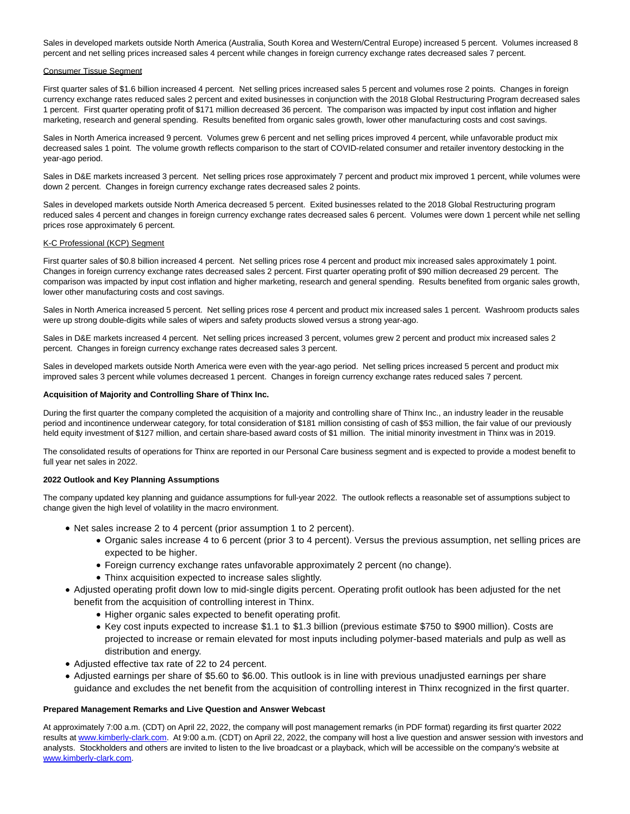Sales in developed markets outside North America (Australia, South Korea and Western/Central Europe) increased 5 percent. Volumes increased 8 percent and net selling prices increased sales 4 percent while changes in foreign currency exchange rates decreased sales 7 percent.

#### Consumer Tissue Segment

First quarter sales of \$1.6 billion increased 4 percent. Net selling prices increased sales 5 percent and volumes rose 2 points. Changes in foreign currency exchange rates reduced sales 2 percent and exited businesses in conjunction with the 2018 Global Restructuring Program decreased sales 1 percent. First quarter operating profit of \$171 million decreased 36 percent. The comparison was impacted by input cost inflation and higher marketing, research and general spending. Results benefited from organic sales growth, lower other manufacturing costs and cost savings.

Sales in North America increased 9 percent. Volumes grew 6 percent and net selling prices improved 4 percent, while unfavorable product mix decreased sales 1 point. The volume growth reflects comparison to the start of COVID-related consumer and retailer inventory destocking in the year-ago period.

Sales in D&E markets increased 3 percent. Net selling prices rose approximately 7 percent and product mix improved 1 percent, while volumes were down 2 percent. Changes in foreign currency exchange rates decreased sales 2 points.

Sales in developed markets outside North America decreased 5 percent. Exited businesses related to the 2018 Global Restructuring program reduced sales 4 percent and changes in foreign currency exchange rates decreased sales 6 percent. Volumes were down 1 percent while net selling prices rose approximately 6 percent.

#### K-C Professional (KCP) Segment

First quarter sales of \$0.8 billion increased 4 percent. Net selling prices rose 4 percent and product mix increased sales approximately 1 point. Changes in foreign currency exchange rates decreased sales 2 percent. First quarter operating profit of \$90 million decreased 29 percent. The comparison was impacted by input cost inflation and higher marketing, research and general spending. Results benefited from organic sales growth, lower other manufacturing costs and cost savings.

Sales in North America increased 5 percent. Net selling prices rose 4 percent and product mix increased sales 1 percent. Washroom products sales were up strong double-digits while sales of wipers and safety products slowed versus a strong year-ago.

Sales in D&E markets increased 4 percent. Net selling prices increased 3 percent, volumes grew 2 percent and product mix increased sales 2 percent. Changes in foreign currency exchange rates decreased sales 3 percent.

Sales in developed markets outside North America were even with the year-ago period. Net selling prices increased 5 percent and product mix improved sales 3 percent while volumes decreased 1 percent. Changes in foreign currency exchange rates reduced sales 7 percent.

#### **Acquisition of Majority and Controlling Share of Thinx Inc.**

During the first quarter the company completed the acquisition of a majority and controlling share of Thinx Inc., an industry leader in the reusable period and incontinence underwear category, for total consideration of \$181 million consisting of cash of \$53 million, the fair value of our previously held equity investment of \$127 million, and certain share-based award costs of \$1 million. The initial minority investment in Thinx was in 2019.

The consolidated results of operations for Thinx are reported in our Personal Care business segment and is expected to provide a modest benefit to full year net sales in 2022.

#### **2022 Outlook and Key Planning Assumptions**

The company updated key planning and guidance assumptions for full-year 2022. The outlook reflects a reasonable set of assumptions subject to change given the high level of volatility in the macro environment.

- Net sales increase 2 to 4 percent (prior assumption 1 to 2 percent).
	- Organic sales increase 4 to 6 percent (prior 3 to 4 percent). Versus the previous assumption, net selling prices are expected to be higher.
	- Foreign currency exchange rates unfavorable approximately 2 percent (no change).
	- Thinx acquisition expected to increase sales slightly.
- Adjusted operating profit down low to mid-single digits percent. Operating profit outlook has been adjusted for the net benefit from the acquisition of controlling interest in Thinx.
	- Higher organic sales expected to benefit operating profit.
	- Key cost inputs expected to increase \$1.1 to \$1.3 billion (previous estimate \$750 to \$900 million). Costs are projected to increase or remain elevated for most inputs including polymer-based materials and pulp as well as distribution and energy.
- Adjusted effective tax rate of 22 to 24 percent.
- Adjusted earnings per share of \$5.60 to \$6.00. This outlook is in line with previous unadjusted earnings per share guidance and excludes the net benefit from the acquisition of controlling interest in Thinx recognized in the first quarter.

#### **Prepared Management Remarks and Live Question and Answer Webcast**

At approximately 7:00 a.m. (CDT) on April 22, 2022, the company will post management remarks (in PDF format) regarding its first quarter 2022 results a[t www.kimberly-clark.com.](http://www.kimberly-clark.com/) At 9:00 a.m. (CDT) on April 22, 2022, the company will host a live question and answer session with investors and analysts. Stockholders and others are invited to listen to the live broadcast or a playback, which will be accessible on the company's website at [www.kimberly-clark.com.](http://www.kimberly-clark.com/)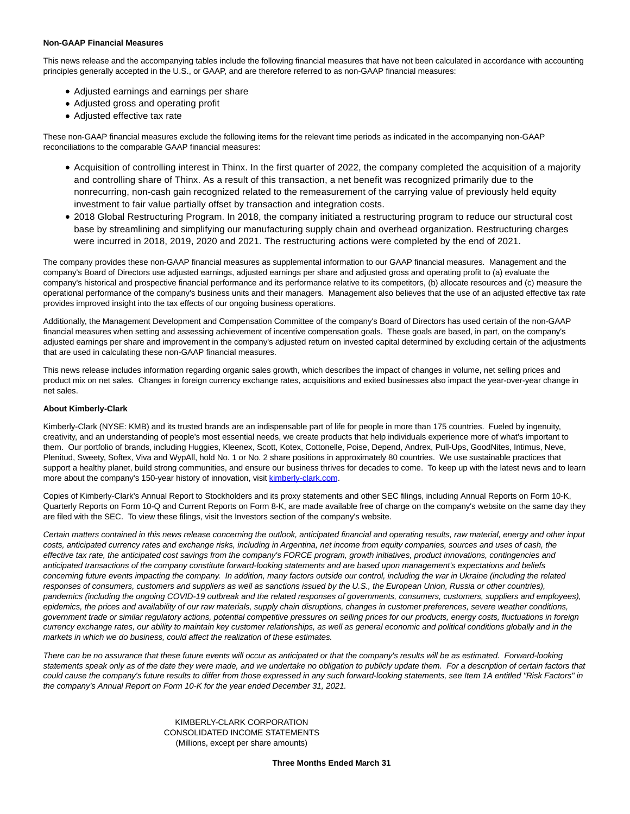#### **Non-GAAP Financial Measures**

This news release and the accompanying tables include the following financial measures that have not been calculated in accordance with accounting principles generally accepted in the U.S., or GAAP, and are therefore referred to as non-GAAP financial measures:

- Adjusted earnings and earnings per share
- Adjusted gross and operating profit
- Adjusted effective tax rate

These non-GAAP financial measures exclude the following items for the relevant time periods as indicated in the accompanying non-GAAP reconciliations to the comparable GAAP financial measures:

- Acquisition of controlling interest in Thinx. In the first quarter of 2022, the company completed the acquisition of a majority and controlling share of Thinx. As a result of this transaction, a net benefit was recognized primarily due to the nonrecurring, non-cash gain recognized related to the remeasurement of the carrying value of previously held equity investment to fair value partially offset by transaction and integration costs.
- 2018 Global Restructuring Program. In 2018, the company initiated a restructuring program to reduce our structural cost base by streamlining and simplifying our manufacturing supply chain and overhead organization. Restructuring charges were incurred in 2018, 2019, 2020 and 2021. The restructuring actions were completed by the end of 2021.

The company provides these non-GAAP financial measures as supplemental information to our GAAP financial measures. Management and the company's Board of Directors use adjusted earnings, adjusted earnings per share and adjusted gross and operating profit to (a) evaluate the company's historical and prospective financial performance and its performance relative to its competitors, (b) allocate resources and (c) measure the operational performance of the company's business units and their managers. Management also believes that the use of an adjusted effective tax rate provides improved insight into the tax effects of our ongoing business operations.

Additionally, the Management Development and Compensation Committee of the company's Board of Directors has used certain of the non-GAAP financial measures when setting and assessing achievement of incentive compensation goals. These goals are based, in part, on the company's adjusted earnings per share and improvement in the company's adjusted return on invested capital determined by excluding certain of the adjustments that are used in calculating these non-GAAP financial measures.

This news release includes information regarding organic sales growth, which describes the impact of changes in volume, net selling prices and product mix on net sales. Changes in foreign currency exchange rates, acquisitions and exited businesses also impact the year-over-year change in net sales.

#### **About Kimberly-Clark**

Kimberly-Clark (NYSE: KMB) and its trusted brands are an indispensable part of life for people in more than 175 countries. Fueled by ingenuity, creativity, and an understanding of people's most essential needs, we create products that help individuals experience more of what's important to them. Our portfolio of brands, including Huggies, Kleenex, Scott, Kotex, Cottonelle, Poise, Depend, Andrex, Pull-Ups, GoodNites, Intimus, Neve, Plenitud, Sweety, Softex, Viva and WypAll, hold No. 1 or No. 2 share positions in approximately 80 countries. We use sustainable practices that support a healthy planet, build strong communities, and ensure our business thrives for decades to come. To keep up with the latest news and to learn more about the company's 150-year history of innovation, visit [kimberly-clark.com.](http://kimberly-clark.com/)

Copies of Kimberly-Clark's Annual Report to Stockholders and its proxy statements and other SEC filings, including Annual Reports on Form 10-K, Quarterly Reports on Form 10-Q and Current Reports on Form 8-K, are made available free of charge on the company's website on the same day they are filed with the SEC. To view these filings, visit the Investors section of the company's website.

Certain matters contained in this news release concerning the outlook, anticipated financial and operating results, raw material, energy and other input costs, anticipated currency rates and exchange risks, including in Argentina, net income from equity companies, sources and uses of cash, the effective tax rate, the anticipated cost savings from the company's FORCE program, growth initiatives, product innovations, contingencies and anticipated transactions of the company constitute forward-looking statements and are based upon management's expectations and beliefs concerning future events impacting the company. In addition, many factors outside our control, including the war in Ukraine (including the related responses of consumers, customers and suppliers as well as sanctions issued by the U.S., the European Union, Russia or other countries), pandemics (including the ongoing COVID-19 outbreak and the related responses of governments, consumers, customers, suppliers and employees), epidemics, the prices and availability of our raw materials, supply chain disruptions, changes in customer preferences, severe weather conditions, government trade or similar regulatory actions, potential competitive pressures on selling prices for our products, energy costs, fluctuations in foreign currency exchange rates, our ability to maintain key customer relationships, as well as general economic and political conditions globally and in the markets in which we do business, could affect the realization of these estimates.

There can be no assurance that these future events will occur as anticipated or that the company's results will be as estimated. Forward-looking statements speak only as of the date they were made, and we undertake no obligation to publicly update them. For a description of certain factors that could cause the company's future results to differ from those expressed in any such forward-looking statements, see Item 1A entitled "Risk Factors" in the company's Annual Report on Form 10-K for the year ended December 31, 2021.

> KIMBERLY-CLARK CORPORATION CONSOLIDATED INCOME STATEMENTS (Millions, except per share amounts)

> > **Three Months Ended March 31**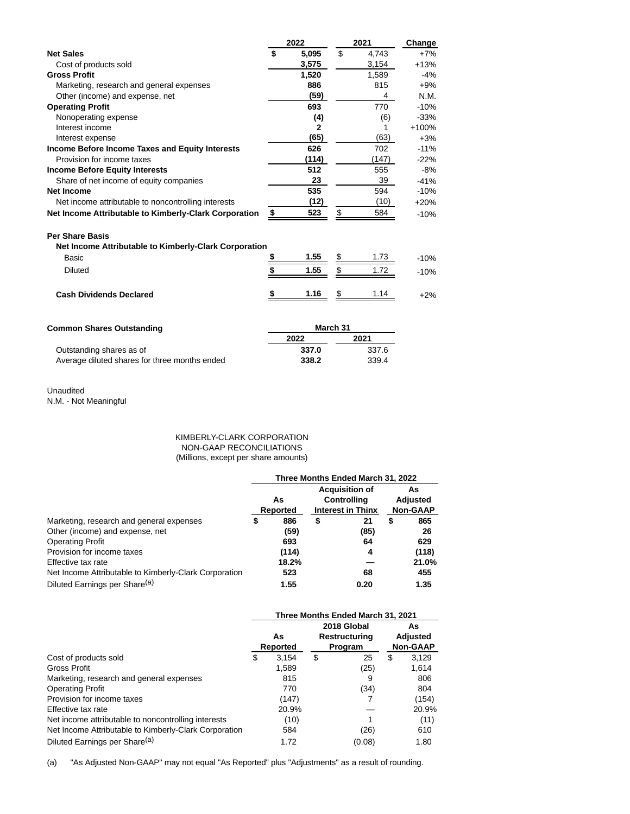|                                                                                 |          | 2022         |    | 2021  | Change  |  |
|---------------------------------------------------------------------------------|----------|--------------|----|-------|---------|--|
| <b>Net Sales</b>                                                                | \$       | 5,095        | \$ | 4,743 | $+7%$   |  |
| Cost of products sold                                                           |          | 3,575        |    | 3,154 | $+13%$  |  |
| <b>Gross Profit</b>                                                             |          | 1,520        |    | 1,589 | $-4%$   |  |
| Marketing, research and general expenses                                        |          | 886          |    | 815   | $+9%$   |  |
| Other (income) and expense, net                                                 |          | (59)         |    | 4     | N.M.    |  |
| <b>Operating Profit</b>                                                         |          | 693          |    | 770   | $-10%$  |  |
| Nonoperating expense                                                            |          | (4)          |    | (6)   | $-33%$  |  |
| Interest income                                                                 |          | $\mathbf{2}$ |    | 1     | $+100%$ |  |
| Interest expense                                                                |          | (65)         |    | (63)  | $+3%$   |  |
| Income Before Income Taxes and Equity Interests                                 |          | 626          |    | 702   | $-11%$  |  |
| Provision for income taxes                                                      |          | (114)        |    | (147) | $-22%$  |  |
| <b>Income Before Equity Interests</b>                                           |          | 512          |    | 555   | -8%     |  |
| Share of net income of equity companies                                         |          | 23           |    | 39    | $-41%$  |  |
| Net Income                                                                      |          | 535          |    | 594   | $-10%$  |  |
| Net income attributable to noncontrolling interests                             |          | (12)         |    | (10)  | $+20%$  |  |
| Net Income Attributable to Kimberly-Clark Corporation                           | \$       | 523          | \$ | 584   | $-10%$  |  |
| <b>Per Share Basis</b><br>Net Income Attributable to Kimberly-Clark Corporation |          |              |    |       |         |  |
| Basic                                                                           | \$       | 1.55         | \$ | 1.73  | $-10%$  |  |
| <b>Diluted</b>                                                                  |          | 1.55         | \$ | 1.72  | $-10%$  |  |
| <b>Cash Dividends Declared</b>                                                  |          | 1.16         | \$ | 1.14  | $+2%$   |  |
| <b>Common Shares Outstanding</b>                                                | March 31 |              |    |       |         |  |
|                                                                                 |          | 2022         |    | 2021  |         |  |
| Outstanding shares as of                                                        |          | 337.0        |    | 337.6 |         |  |

| $S1$ can contain the contained and $S1$       | ----- |       |
|-----------------------------------------------|-------|-------|
| Average diluted shares for three months ended | 338.2 | 339.4 |

# Unaudited

N.M. - Not Meaningful

### KIMBERLY-CLARK CORPORATION NON-GAAP RECONCILIATIONS (Millions, except per share amounts)

|                                                       | Three Months Ended March 31, 2022 |       |    |                                                                  |    |                                   |  |  |
|-------------------------------------------------------|-----------------------------------|-------|----|------------------------------------------------------------------|----|-----------------------------------|--|--|
|                                                       | As<br>Reported                    |       |    | <b>Acquisition of</b><br>Controlling<br><b>Interest in Thinx</b> |    | As<br>Adjusted<br><b>Non-GAAP</b> |  |  |
| Marketing, research and general expenses              | \$                                | 886   | \$ | 21                                                               | \$ | 865                               |  |  |
| Other (income) and expense, net                       |                                   | (59)  |    | (85)                                                             |    | 26                                |  |  |
| <b>Operating Profit</b>                               |                                   | 693   |    | 64                                                               |    | 629                               |  |  |
| Provision for income taxes                            |                                   | (114) |    | 4                                                                |    | (118)                             |  |  |
| Effective tax rate                                    |                                   | 18.2% |    |                                                                  |    | 21.0%                             |  |  |
| Net Income Attributable to Kimberly-Clark Corporation |                                   | 523   |    | 68                                                               |    | 455                               |  |  |
| Diluted Earnings per Share <sup>(a)</sup>             |                                   | 1.55  |    | 0.20                                                             |    | 1.35                              |  |  |

|                                                       | Three Months Ended March 31, 2021 |                |    |                                         |   |                                   |  |  |
|-------------------------------------------------------|-----------------------------------|----------------|----|-----------------------------------------|---|-----------------------------------|--|--|
|                                                       |                                   | As<br>Reported |    | 2018 Global<br>Restructuring<br>Program |   | As<br>Adjusted<br><b>Non-GAAP</b> |  |  |
| Cost of products sold                                 | \$                                | 3.154          | \$ | 25                                      | S | 3.129                             |  |  |
| <b>Gross Profit</b>                                   |                                   | 1,589          |    | (25)                                    |   | 1,614                             |  |  |
| Marketing, research and general expenses              |                                   | 815            |    | 9                                       |   | 806                               |  |  |
| <b>Operating Profit</b>                               |                                   | 770            |    | (34)                                    |   | 804                               |  |  |
| Provision for income taxes                            |                                   | (147)          |    |                                         |   | (154)                             |  |  |
| Effective tax rate                                    |                                   | 20.9%          |    |                                         |   | 20.9%                             |  |  |
| Net income attributable to noncontrolling interests   |                                   | (10)           |    |                                         |   | (11)                              |  |  |
| Net Income Attributable to Kimberly-Clark Corporation |                                   | 584            |    | (26)                                    |   | 610                               |  |  |
| Diluted Earnings per Share <sup>(a)</sup>             |                                   | 1.72           |    | (0.08)                                  |   | 1.80                              |  |  |

(a) "As Adjusted Non-GAAP" may not equal "As Reported" plus "Adjustments" as a result of rounding.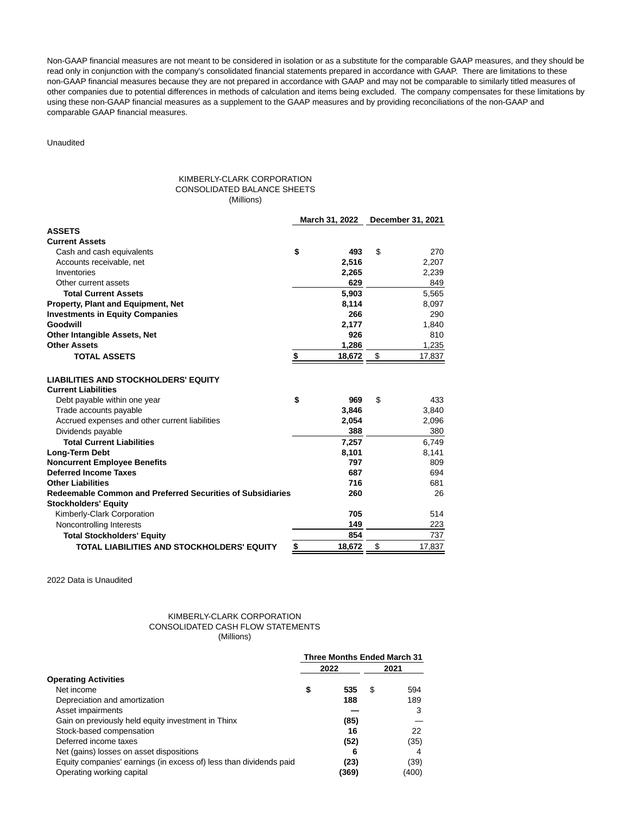Non-GAAP financial measures are not meant to be considered in isolation or as a substitute for the comparable GAAP measures, and they should be read only in conjunction with the company's consolidated financial statements prepared in accordance with GAAP. There are limitations to these non-GAAP financial measures because they are not prepared in accordance with GAAP and may not be comparable to similarly titled measures of other companies due to potential differences in methods of calculation and items being excluded. The company compensates for these limitations by using these non-GAAP financial measures as a supplement to the GAAP measures and by providing reconciliations of the non-GAAP and comparable GAAP financial measures.

## Unaudited

#### KIMBERLY-CLARK CORPORATION CONSOLIDATED BALANCE SHEETS (Millions)

|                                                                           |           | March 31, 2022 | December 31, 2021 |
|---------------------------------------------------------------------------|-----------|----------------|-------------------|
| <b>ASSETS</b>                                                             |           |                |                   |
| <b>Current Assets</b>                                                     |           |                |                   |
| Cash and cash equivalents                                                 | \$        | 493            | \$<br>270         |
| Accounts receivable, net                                                  |           | 2.516          | 2,207             |
| Inventories                                                               |           | 2,265          | 2,239             |
| Other current assets                                                      |           | 629            | 849               |
| <b>Total Current Assets</b>                                               |           | 5,903          | 5,565             |
| Property, Plant and Equipment, Net                                        |           | 8,114          | 8,097             |
| <b>Investments in Equity Companies</b>                                    |           | 266            | 290               |
| Goodwill                                                                  |           | 2,177          | 1,840             |
| <b>Other Intangible Assets, Net</b>                                       |           | 926            | 810               |
| <b>Other Assets</b>                                                       |           | 1,286          | 1,235             |
| <b>TOTAL ASSETS</b>                                                       | \$        | 18,672         | \$<br>17,837      |
| <b>LIABILITIES AND STOCKHOLDERS' EQUITY</b><br><b>Current Liabilities</b> |           |                |                   |
| Debt payable within one year                                              | \$        | 969            | \$<br>433         |
| Trade accounts payable                                                    |           | 3,846          | 3,840             |
| Accrued expenses and other current liabilities                            |           | 2,054          | 2,096             |
| Dividends payable                                                         |           | 388            | 380               |
| <b>Total Current Liabilities</b>                                          |           | 7,257          | 6,749             |
| Long-Term Debt                                                            |           | 8,101          | 8,141             |
| <b>Noncurrent Employee Benefits</b>                                       |           | 797            | 809               |
| <b>Deferred Income Taxes</b>                                              |           | 687            | 694               |
| <b>Other Liabilities</b>                                                  |           | 716            | 681               |
| Redeemable Common and Preferred Securities of Subsidiaries                |           | 260            | 26                |
| <b>Stockholders' Equity</b>                                               |           |                |                   |
| Kimberly-Clark Corporation                                                |           | 705            | 514               |
| Noncontrolling Interests                                                  |           | 149            | 223               |
| <b>Total Stockholders' Equity</b>                                         |           | 854            | 737               |
| TOTAL LIABILITIES AND STOCKHOLDERS' EQUITY                                | <u>\$</u> | 18,672         | \$<br>17,837      |

2022 Data is Unaudited

#### KIMBERLY-CLARK CORPORATION CONSOLIDATED CASH FLOW STATEMENTS (Millions)

|                                                                    |    | <b>Three Months Ended March 31</b> |   |       |  |  |
|--------------------------------------------------------------------|----|------------------------------------|---|-------|--|--|
|                                                                    |    | 2022                               |   | 2021  |  |  |
| <b>Operating Activities</b>                                        |    |                                    |   |       |  |  |
| Net income                                                         | \$ | 535                                | S | 594   |  |  |
| Depreciation and amortization                                      |    | 188                                |   | 189   |  |  |
| Asset impairments                                                  |    |                                    |   | 3     |  |  |
| Gain on previously held equity investment in Thinx                 |    | (85)                               |   |       |  |  |
| Stock-based compensation                                           |    | 16                                 |   | 22    |  |  |
| Deferred income taxes                                              |    | (52)                               |   | (35)  |  |  |
| Net (gains) losses on asset dispositions                           |    |                                    |   | 4     |  |  |
| Equity companies' earnings (in excess of) less than dividends paid |    | (23)                               |   | (39)  |  |  |
| Operating working capital                                          |    | (369)                              |   | (400) |  |  |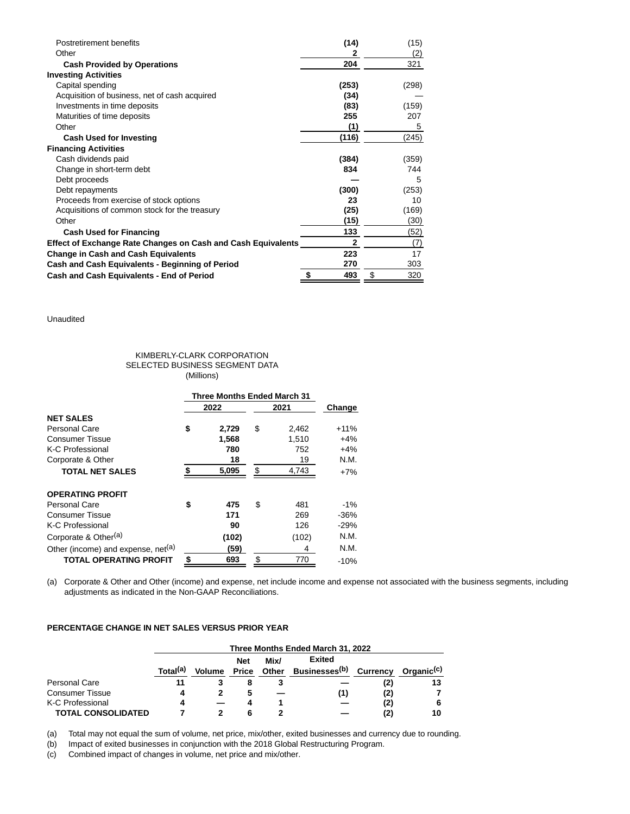| Postretirement benefits                                             | (14)         | (15)      |
|---------------------------------------------------------------------|--------------|-----------|
| Other                                                               | 2            | (2)       |
| <b>Cash Provided by Operations</b>                                  | 204          | 321       |
| <b>Investing Activities</b>                                         |              |           |
| Capital spending                                                    | (253)        | (298)     |
| Acquisition of business, net of cash acquired                       | (34)         |           |
| Investments in time deposits                                        | (83)         | (159)     |
| Maturities of time deposits                                         | 255          | 207       |
| Other                                                               | (1)          | 5         |
| <b>Cash Used for Investing</b>                                      | (116)        | (245)     |
| <b>Financing Activities</b>                                         |              |           |
| Cash dividends paid                                                 | (384)        | (359)     |
| Change in short-term debt                                           | 834          | 744       |
| Debt proceeds                                                       |              | 5         |
| Debt repayments                                                     | (300)        | (253)     |
| Proceeds from exercise of stock options                             | 23           | 10        |
| Acquisitions of common stock for the treasury                       | (25)         | (169)     |
| Other                                                               | (15)         | (30)      |
| <b>Cash Used for Financing</b>                                      | 133          | (52)      |
| <b>Effect of Exchange Rate Changes on Cash and Cash Equivalents</b> | $\mathbf{2}$ | (7)       |
| <b>Change in Cash and Cash Equivalents</b>                          | 223          | 17        |
| Cash and Cash Equivalents - Beginning of Period                     | 270          | 303       |
| Cash and Cash Equivalents - End of Period                           | \$<br>493    | \$<br>320 |

Unaudited

#### KIMBERLY-CLARK CORPORATION SELECTED BUSINESS SEGMENT DATA (Millions)

|                                                | Three Months Ended March 31 |              |    |       |        |  |
|------------------------------------------------|-----------------------------|--------------|----|-------|--------|--|
|                                                |                             | 2022<br>2021 |    |       | Change |  |
| <b>NET SALES</b>                               |                             |              |    |       |        |  |
| Personal Care                                  | \$                          | 2,729        | \$ | 2,462 | $+11%$ |  |
| <b>Consumer Tissue</b>                         |                             | 1,568        |    | 1.510 | $+4%$  |  |
| <b>K-C Professional</b>                        |                             | 780          |    | 752   | $+4%$  |  |
| Corporate & Other                              |                             | 18           |    | 19    | N.M.   |  |
| <b>TOTAL NET SALES</b>                         | \$                          | 5,095        | \$ | 4,743 | $+7%$  |  |
| <b>OPERATING PROFIT</b>                        |                             |              |    |       |        |  |
| Personal Care                                  | \$                          | 475          | \$ | 481   | $-1\%$ |  |
| <b>Consumer Tissue</b>                         |                             | 171          |    | 269   | $-36%$ |  |
| K-C Professional                               |                             | 90           |    | 126   | $-29%$ |  |
| Corporate & Other <sup>(a)</sup>               |                             | (102)        |    | (102) | N.M.   |  |
| Other (income) and expense, net <sup>(a)</sup> |                             | (59)         |    | 4     | N.M.   |  |
| <b>TOTAL OPERATING PROFIT</b>                  | \$                          | 693          | \$ | 770   | $-10%$ |  |

(a) Corporate & Other and Other (income) and expense, net include income and expense not associated with the business segments, including adjustments as indicated in the Non-GAAP Reconciliations.

# **PERCENTAGE CHANGE IN NET SALES VERSUS PRIOR YEAR**

|                           | Three Months Ended March 31, 2022 |               |              |       |                                    |     |                        |  |  |  |
|---------------------------|-----------------------------------|---------------|--------------|-------|------------------------------------|-----|------------------------|--|--|--|
|                           |                                   |               | <b>Net</b>   | Mix/  | Exited                             |     |                        |  |  |  |
|                           | Total <sup>(a)</sup>              | <b>Volume</b> | <b>Price</b> | Other | Businesses <sup>(b)</sup> Currency |     | Organic <sup>(c)</sup> |  |  |  |
| Personal Care             |                                   |               |              |       |                                    | (2) | 13                     |  |  |  |
| <b>Consumer Tissue</b>    |                                   |               | 5            |       | (1)                                | (2) |                        |  |  |  |
| K-C Professional          |                                   |               |              |       |                                    | (2) |                        |  |  |  |
| <b>TOTAL CONSOLIDATED</b> |                                   |               |              |       |                                    | (2) | 10                     |  |  |  |

(a) Total may not equal the sum of volume, net price, mix/other, exited businesses and currency due to rounding.

(b) Impact of exited businesses in conjunction with the 2018 Global Restructuring Program.

(c) Combined impact of changes in volume, net price and mix/other.